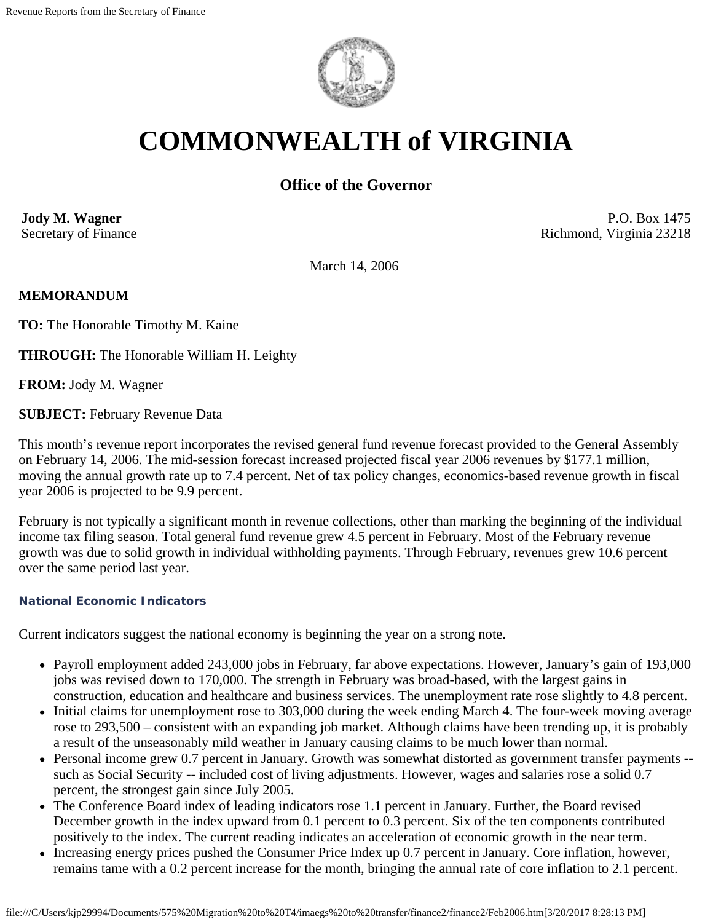

# **COMMONWEALTH of VIRGINIA**

# **Office of the Governor**

**Jody M. Wagner**  Secretary of Finance

P.O. Box 1475 Richmond, Virginia 23218

March 14, 2006

## **MEMORANDUM**

**TO:** The Honorable Timothy M. Kaine

**THROUGH:** The Honorable William H. Leighty

**FROM:** Jody M. Wagner

**SUBJECT:** February Revenue Data

This month's revenue report incorporates the revised general fund revenue forecast provided to the General Assembly on February 14, 2006. The mid-session forecast increased projected fiscal year 2006 revenues by \$177.1 million, moving the annual growth rate up to 7.4 percent. Net of tax policy changes, economics-based revenue growth in fiscal year 2006 is projected to be 9.9 percent.

February is not typically a significant month in revenue collections, other than marking the beginning of the individual income tax filing season. Total general fund revenue grew 4.5 percent in February. Most of the February revenue growth was due to solid growth in individual withholding payments. Through February, revenues grew 10.6 percent over the same period last year.

#### **National Economic Indicators**

Current indicators suggest the national economy is beginning the year on a strong note.

- Payroll employment added 243,000 jobs in February, far above expectations. However, January's gain of 193,000 jobs was revised down to 170,000. The strength in February was broad-based, with the largest gains in construction, education and healthcare and business services. The unemployment rate rose slightly to 4.8 percent.
- Initial claims for unemployment rose to 303,000 during the week ending March 4. The four-week moving average rose to 293,500 – consistent with an expanding job market. Although claims have been trending up, it is probably a result of the unseasonably mild weather in January causing claims to be much lower than normal.
- Personal income grew 0.7 percent in January. Growth was somewhat distorted as government transfer payments such as Social Security -- included cost of living adjustments. However, wages and salaries rose a solid 0.7 percent, the strongest gain since July 2005.
- The Conference Board index of leading indicators rose 1.1 percent in January. Further, the Board revised December growth in the index upward from 0.1 percent to 0.3 percent. Six of the ten components contributed positively to the index. The current reading indicates an acceleration of economic growth in the near term.
- Increasing energy prices pushed the Consumer Price Index up 0.7 percent in January. Core inflation, however, remains tame with a 0.2 percent increase for the month, bringing the annual rate of core inflation to 2.1 percent.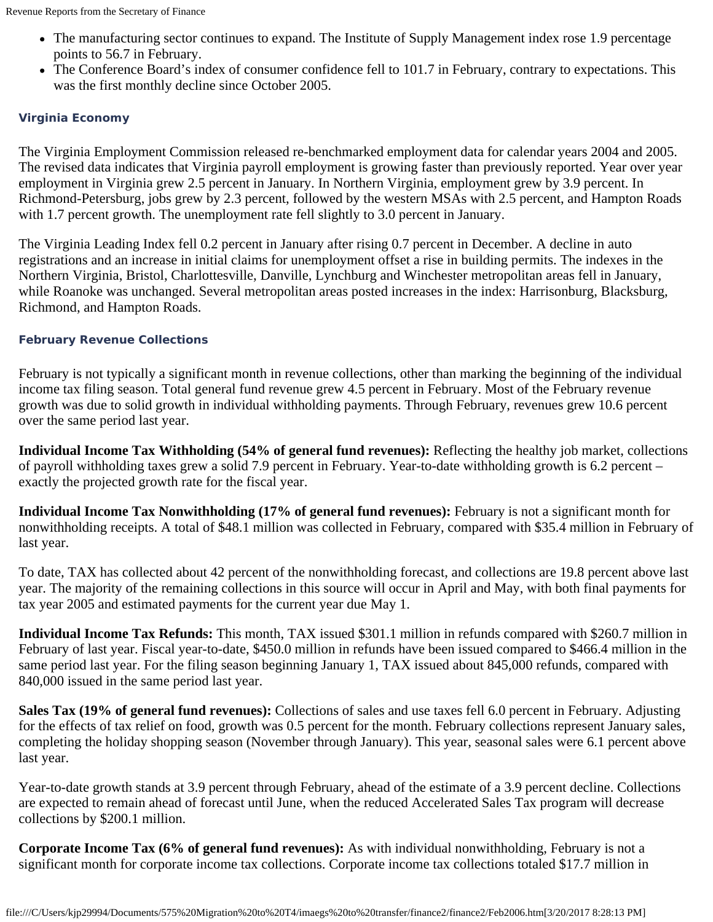- The manufacturing sector continues to expand. The Institute of Supply Management index rose 1.9 percentage points to 56.7 in February.
- The Conference Board's index of consumer confidence fell to 101.7 in February, contrary to expectations. This was the first monthly decline since October 2005.

#### **Virginia Economy**

The Virginia Employment Commission released re-benchmarked employment data for calendar years 2004 and 2005. The revised data indicates that Virginia payroll employment is growing faster than previously reported. Year over year employment in Virginia grew 2.5 percent in January. In Northern Virginia, employment grew by 3.9 percent. In Richmond-Petersburg, jobs grew by 2.3 percent, followed by the western MSAs with 2.5 percent, and Hampton Roads with 1.7 percent growth. The unemployment rate fell slightly to 3.0 percent in January.

The Virginia Leading Index fell 0.2 percent in January after rising 0.7 percent in December. A decline in auto registrations and an increase in initial claims for unemployment offset a rise in building permits. The indexes in the Northern Virginia, Bristol, Charlottesville, Danville, Lynchburg and Winchester metropolitan areas fell in January, while Roanoke was unchanged. Several metropolitan areas posted increases in the index: Harrisonburg, Blacksburg, Richmond, and Hampton Roads.

## **February Revenue Collections**

February is not typically a significant month in revenue collections, other than marking the beginning of the individual income tax filing season. Total general fund revenue grew 4.5 percent in February. Most of the February revenue growth was due to solid growth in individual withholding payments. Through February, revenues grew 10.6 percent over the same period last year.

**Individual Income Tax Withholding (54% of general fund revenues):** Reflecting the healthy job market, collections of payroll withholding taxes grew a solid 7.9 percent in February. Year-to-date withholding growth is 6.2 percent – exactly the projected growth rate for the fiscal year.

**Individual Income Tax Nonwithholding (17% of general fund revenues):** February is not a significant month for nonwithholding receipts. A total of \$48.1 million was collected in February, compared with \$35.4 million in February of last year.

To date, TAX has collected about 42 percent of the nonwithholding forecast, and collections are 19.8 percent above last year. The majority of the remaining collections in this source will occur in April and May, with both final payments for tax year 2005 and estimated payments for the current year due May 1.

**Individual Income Tax Refunds:** This month, TAX issued \$301.1 million in refunds compared with \$260.7 million in February of last year. Fiscal year-to-date, \$450.0 million in refunds have been issued compared to \$466.4 million in the same period last year. For the filing season beginning January 1, TAX issued about 845,000 refunds, compared with 840,000 issued in the same period last year.

**Sales Tax (19% of general fund revenues):** Collections of sales and use taxes fell 6.0 percent in February. Adjusting for the effects of tax relief on food, growth was 0.5 percent for the month. February collections represent January sales, completing the holiday shopping season (November through January). This year, seasonal sales were 6.1 percent above last year.

Year-to-date growth stands at 3.9 percent through February, ahead of the estimate of a 3.9 percent decline. Collections are expected to remain ahead of forecast until June, when the reduced Accelerated Sales Tax program will decrease collections by \$200.1 million.

**Corporate Income Tax (6% of general fund revenues):** As with individual nonwithholding, February is not a significant month for corporate income tax collections. Corporate income tax collections totaled \$17.7 million in